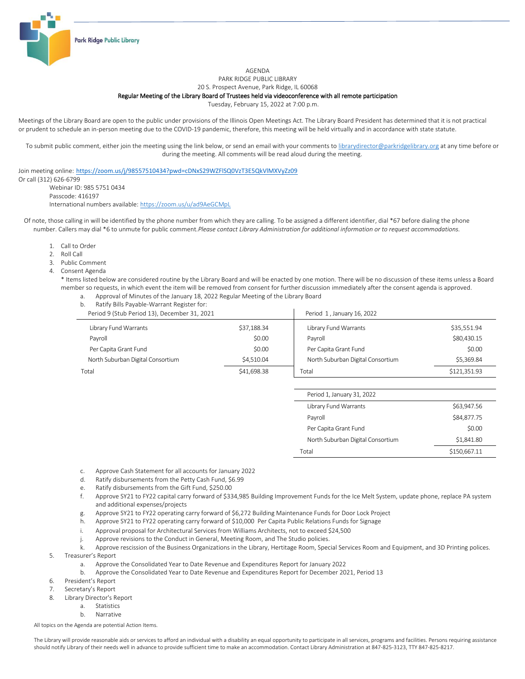

AGENDA

PARK RIDGE PUBLIC LIBRARY

20 S. Prospect Avenue, Park Ridge, IL 60068

## Regular Meeting of the Library Board of Trustees held via videoconference with all remote participation

Tuesday, February 15, 2022 at 7:00 p.m.

Meetings of the Library Board are open to the public under provisions of the Illinois Open Meetings Act. The Library Board President has determined that it is not practical or prudent to schedule an in-person meeting due to the COVID-19 pandemic, therefore, this meeting will be held virtually and in accordance with state statute.

To submit public comment, either join the meeting using the link below, or send an email with your comments t[o librarydirector@parkridgelibrary.org](mailto:librarydirector@parkridgelibrary.org) at any time before or during the meeting. All comments will be read aloud during the meeting.

Join meeting online: <https://zoom.us/j/98557510434?pwd=cDNxS29WZFlSQ0VzT3E5QkVlMXVyZz09>

Or call (312) 626-6799 Webinar ID: 985 5751 0434 Passcode: 416197 International numbers available[: https://zoom.us/u/ad9AeGCMpL](https://zoom.us/u/ad9AeGCMpL)

- Of note, those calling in will be identified by the phone number from which they are calling. To be assigned a different identifier, dial \*67 before dialing the phone number. Callers may dial \*6 to unmute for public comment.*Please contact Library Administration for additional information or to request accommodations.*
	- 1. Call to Order
	- 2. Roll Call
	- 3. Public Comment
	- 4. Consent Agenda
		- \* Items listed below are considered routine by the Library Board and will be enacted by one motion. There will be no discussion of these items unless a Board member so requests, in which event the item will be removed from consent for further discussion immediately after the consent agenda is approved.
			- a. Approval of Minutes of the January 18, 2022 Regular Meeting of the Library Board
			- b. Ratify Bills Payable-Warrant Register for:

| Period 9 (Stub Period 13), December 31, 2021 |             | Period 1, January 16, 2022        |              |
|----------------------------------------------|-------------|-----------------------------------|--------------|
| Library Fund Warrants                        | \$37,188.34 | Library Fund Warrants             | \$35,551.94  |
| Pavroll                                      | \$0.00      | Pavroll                           | \$80,430.15  |
| Per Capita Grant Fund                        | \$0.00      | Per Capita Grant Fund             | \$0.00       |
| North Suburban Digital Consortium            | \$4.510.04  | North Suburban Digital Consortium | \$5.369.84   |
| Total                                        | \$41,698.38 | Total                             | \$121.351.93 |

| Period 1, January 31, 2022        |              |
|-----------------------------------|--------------|
| Library Fund Warrants             | \$63,947.56  |
| Payroll                           | \$84,877.75  |
| Per Capita Grant Fund             | \$0.00       |
| North Suburban Digital Consortium | \$1,841.80   |
| Total                             | \$150,667.11 |

- c. Approve Cash Statement for all accounts for January 2022
- d. Ratify disbursements from the Petty Cash Fund, \$6.99
- e. Ratify disbursements from the Gift Fund, \$250.00
- f. Approve SY21 to FY22 capital carry forward of \$334,985 Building Improvement Funds for the Ice Melt System, update phone, replace PA system and additional expenses/projects
- g. Approve SY21 to FY22 operating carry forward of \$6,272 Building Maintenance Funds for Door Lock Project
- h. Approve SY21 to FY22 operating carry forward of \$10,000 Per Capita Public Relations Funds for Signage
- i. Approval proposal for Architectural Services from Williams Architects, not to exceed \$24,500
- j. Approve revisions to the Conduct in General, Meeting Room, and The Studio policies.
- k. Approve rescission of the Business Organizations in the Library, Hertitage Room, Special Services Room and Equipment, and 3D Printing polices. 5. Treasurer's Report
	- a. Approve the Consolidated Year to Date Revenue and Expenditures Report for January 2022
	- b. Approve the Consolidated Year to Date Revenue and Expenditures Report for December 2021, Period 13
- 6. President's Report
- 7. Secretary's Report
- 8. Library Director's Report
	- a. Statistics
	- b. Narrative

All topics on the Agenda are potential Action Items.

The Library will provide reasonable aids or services to afford an individual with a disability an equal opportunity to participate in all services, programs and facilities. Persons requiring assistance should notify Library of their needs well in advance to provide sufficient time to make an accommodation. Contact Library Administration at 847-825-3123, TTY 847-825-8217.